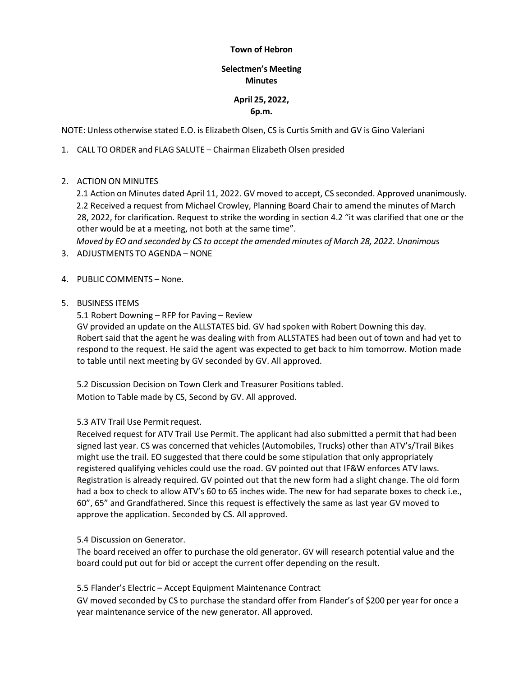#### **Town of Hebron**

## **Selectmen's Meeting Minutes**

# **April 25, 2022, 6p.m.**

NOTE: Unless otherwise stated E.O. is Elizabeth Olsen, CS is Curtis Smith and GV is Gino Valeriani

1. CALL TO ORDER and FLAG SALUTE – Chairman Elizabeth Olsen presided

2. ACTION ON MINUTES

2.1 Action on Minutes dated April 11, 2022. GV moved to accept, CS seconded. Approved unanimously. 2.2 Received a request from Michael Crowley, Planning Board Chair to amend the minutes of March 28, 2022, for clarification. Request to strike the wording in section 4.2 "it was clarified that one or the other would be at a meeting, not both at the same time".

*Moved by EO and seconded by CS to accept the amended minutes of March 28, 2022. Unanimous*

- 3. ADJUSTMENTS TO AGENDA NONE
- 4. PUBLIC COMMENTS None.
- 5. BUSINESS ITEMS

5.1 Robert Downing – RFP for Paving – Review

GV provided an update on the ALLSTATES bid. GV had spoken with Robert Downing this day. Robert said that the agent he was dealing with from ALLSTATES had been out of town and had yet to respond to the request. He said the agent was expected to get back to him tomorrow. Motion made to table until next meeting by GV seconded by GV. All approved.

5.2 Discussion Decision on Town Clerk and Treasurer Positions tabled. Motion to Table made by CS, Second by GV. All approved.

### 5.3 ATV Trail Use Permit request.

Received request for ATV Trail Use Permit. The applicant had also submitted a permit that had been signed last year. CS was concerned that vehicles (Automobiles, Trucks) other than ATV's/Trail Bikes might use the trail. EO suggested that there could be some stipulation that only appropriately registered qualifying vehicles could use the road. GV pointed out that IF&W enforces ATV laws. Registration is already required. GV pointed out that the new form had a slight change. The old form had a box to check to allow ATV's 60 to 65 inches wide. The new for had separate boxes to check i.e., 60", 65" and Grandfathered. Since this request is effectively the same as last year GV moved to approve the application. Seconded by CS. All approved.

### 5.4 Discussion on Generator.

The board received an offer to purchase the old generator. GV will research potential value and the board could put out for bid or accept the current offer depending on the result.

### 5.5 Flander's Electric – Accept Equipment Maintenance Contract

GV moved seconded by CS to purchase the standard offer from Flander's of \$200 per year for once a year maintenance service of the new generator. All approved.